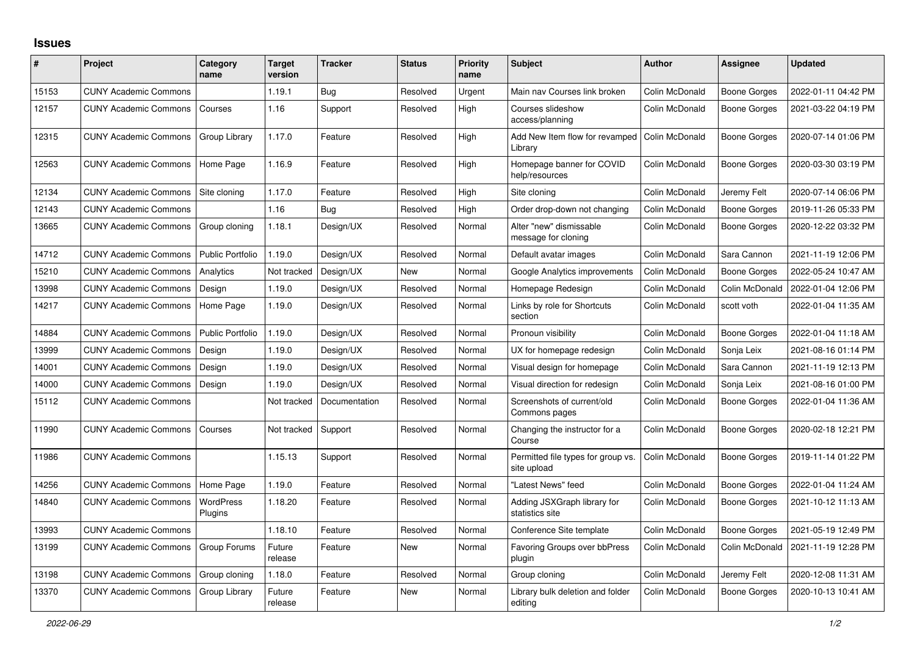## **Issues**

| #     | Project                      | Category<br>name        | <b>Target</b><br>version | <b>Tracker</b> | <b>Status</b> | Priority<br>name | <b>Subject</b>                                    | <b>Author</b>  | Assignee            | <b>Updated</b>      |
|-------|------------------------------|-------------------------|--------------------------|----------------|---------------|------------------|---------------------------------------------------|----------------|---------------------|---------------------|
| 15153 | <b>CUNY Academic Commons</b> |                         | 1.19.1                   | <b>Bug</b>     | Resolved      | Urgent           | Main nav Courses link broken                      | Colin McDonald | <b>Boone Gorges</b> | 2022-01-11 04:42 PM |
| 12157 | <b>CUNY Academic Commons</b> | Courses                 | 1.16                     | Support        | Resolved      | High             | Courses slideshow<br>access/planning              | Colin McDonald | <b>Boone Gorges</b> | 2021-03-22 04:19 PM |
| 12315 | <b>CUNY Academic Commons</b> | Group Library           | 1.17.0                   | Feature        | Resolved      | High             | Add New Item flow for revamped<br>Library         | Colin McDonald | <b>Boone Gorges</b> | 2020-07-14 01:06 PM |
| 12563 | <b>CUNY Academic Commons</b> | Home Page               | 1.16.9                   | Feature        | Resolved      | High             | Homepage banner for COVID<br>help/resources       | Colin McDonald | <b>Boone Gorges</b> | 2020-03-30 03:19 PM |
| 12134 | <b>CUNY Academic Commons</b> | Site cloning            | 1.17.0                   | Feature        | Resolved      | High             | Site cloning                                      | Colin McDonald | Jeremy Felt         | 2020-07-14 06:06 PM |
| 12143 | <b>CUNY Academic Commons</b> |                         | 1.16                     | <b>Bug</b>     | Resolved      | High             | Order drop-down not changing                      | Colin McDonald | <b>Boone Gorges</b> | 2019-11-26 05:33 PM |
| 13665 | <b>CUNY Academic Commons</b> | Group cloning           | 1.18.1                   | Design/UX      | Resolved      | Normal           | Alter "new" dismissable<br>message for cloning    | Colin McDonald | Boone Gorges        | 2020-12-22 03:32 PM |
| 14712 | <b>CUNY Academic Commons</b> | <b>Public Portfolio</b> | 1.19.0                   | Design/UX      | Resolved      | Normal           | Default avatar images                             | Colin McDonald | Sara Cannon         | 2021-11-19 12:06 PM |
| 15210 | <b>CUNY Academic Commons</b> | Analytics               | Not tracked              | Design/UX      | <b>New</b>    | Normal           | Google Analytics improvements                     | Colin McDonald | <b>Boone Gorges</b> | 2022-05-24 10:47 AM |
| 13998 | <b>CUNY Academic Commons</b> | Design                  | 1.19.0                   | Design/UX      | Resolved      | Normal           | Homepage Redesign                                 | Colin McDonald | Colin McDonald      | 2022-01-04 12:06 PM |
| 14217 | <b>CUNY Academic Commons</b> | Home Page               | 1.19.0                   | Design/UX      | Resolved      | Normal           | Links by role for Shortcuts<br>section            | Colin McDonald | scott voth          | 2022-01-04 11:35 AM |
| 14884 | <b>CUNY Academic Commons</b> | <b>Public Portfolio</b> | 1.19.0                   | Design/UX      | Resolved      | Normal           | Pronoun visibility                                | Colin McDonald | Boone Gorges        | 2022-01-04 11:18 AM |
| 13999 | <b>CUNY Academic Commons</b> | Design                  | 1.19.0                   | Design/UX      | Resolved      | Normal           | UX for homepage redesign                          | Colin McDonald | Sonja Leix          | 2021-08-16 01:14 PM |
| 14001 | <b>CUNY Academic Commons</b> | Design                  | 1.19.0                   | Design/UX      | Resolved      | Normal           | Visual design for homepage                        | Colin McDonald | Sara Cannon         | 2021-11-19 12:13 PM |
| 14000 | <b>CUNY Academic Commons</b> | Design                  | 1.19.0                   | Design/UX      | Resolved      | Normal           | Visual direction for redesign                     | Colin McDonald | Sonja Leix          | 2021-08-16 01:00 PM |
| 15112 | <b>CUNY Academic Commons</b> |                         | Not tracked              | Documentation  | Resolved      | Normal           | Screenshots of current/old<br>Commons pages       | Colin McDonald | <b>Boone Gorges</b> | 2022-01-04 11:36 AM |
| 11990 | <b>CUNY Academic Commons</b> | Courses                 | Not tracked              | Support        | Resolved      | Normal           | Changing the instructor for a<br>Course           | Colin McDonald | Boone Gorges        | 2020-02-18 12:21 PM |
| 11986 | <b>CUNY Academic Commons</b> |                         | 1.15.13                  | Support        | Resolved      | Normal           | Permitted file types for group vs.<br>site upload | Colin McDonald | Boone Gorges        | 2019-11-14 01:22 PM |
| 14256 | <b>CUNY Academic Commons</b> | Home Page               | 1.19.0                   | Feature        | Resolved      | Normal           | "Latest News" feed                                | Colin McDonald | <b>Boone Gorges</b> | 2022-01-04 11:24 AM |
| 14840 | <b>CUNY Academic Commons</b> | WordPress<br>Plugins    | 1.18.20                  | Feature        | Resolved      | Normal           | Adding JSXGraph library for<br>statistics site    | Colin McDonald | Boone Gorges        | 2021-10-12 11:13 AM |
| 13993 | <b>CUNY Academic Commons</b> |                         | 1.18.10                  | Feature        | Resolved      | Normal           | Conference Site template                          | Colin McDonald | Boone Gorges        | 2021-05-19 12:49 PM |
| 13199 | <b>CUNY Academic Commons</b> | Group Forums            | Future<br>release        | Feature        | New           | Normal           | Favoring Groups over bbPress<br>plugin            | Colin McDonald | Colin McDonald      | 2021-11-19 12:28 PM |
| 13198 | <b>CUNY Academic Commons</b> | Group cloning           | 1.18.0                   | Feature        | Resolved      | Normal           | Group cloning                                     | Colin McDonald | Jeremy Felt         | 2020-12-08 11:31 AM |
| 13370 | <b>CUNY Academic Commons</b> | Group Library           | Future<br>release        | Feature        | <b>New</b>    | Normal           | Library bulk deletion and folder<br>editing       | Colin McDonald | <b>Boone Gorges</b> | 2020-10-13 10:41 AM |